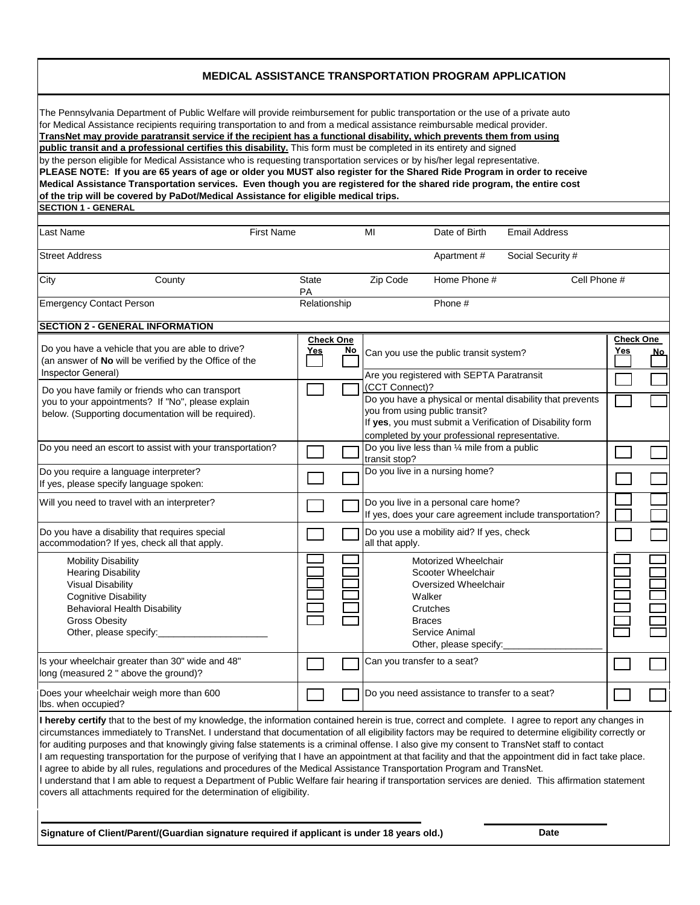## **MEDICAL ASSISTANCE TRANSPORTATION PROGRAM APPLICATION**

| The Pennsylvania Department of Public Welfare will provide reimbursement for public transportation or the use of a private auto<br>for Medical Assistance recipients requiring transportation to and from a medical assistance reimbursable medical provider.<br>TransNet may provide paratransit service if the recipient has a functional disability, which prevents them from using<br>public transit and a professional certifies this disability. This form must be completed in its entirety and signed<br>by the person eligible for Medical Assistance who is requesting transportation services or by his/her legal representative.<br>PLEASE NOTE: If you are 65 years of age or older you MUST also register for the Shared Ride Program in order to receive<br>Medical Assistance Transportation services. Even though you are registered for the shared ride program, the entire cost<br>of the trip will be covered by PaDot/Medical Assistance for eligible medical trips. |                                |           |                             |                                                                                                                                                |                                                                                                                        |            |                                |
|-------------------------------------------------------------------------------------------------------------------------------------------------------------------------------------------------------------------------------------------------------------------------------------------------------------------------------------------------------------------------------------------------------------------------------------------------------------------------------------------------------------------------------------------------------------------------------------------------------------------------------------------------------------------------------------------------------------------------------------------------------------------------------------------------------------------------------------------------------------------------------------------------------------------------------------------------------------------------------------------|--------------------------------|-----------|-----------------------------|------------------------------------------------------------------------------------------------------------------------------------------------|------------------------------------------------------------------------------------------------------------------------|------------|--------------------------------|
| <b>SECTION 1 - GENERAL</b>                                                                                                                                                                                                                                                                                                                                                                                                                                                                                                                                                                                                                                                                                                                                                                                                                                                                                                                                                                |                                |           |                             |                                                                                                                                                |                                                                                                                        |            |                                |
| Last Name<br><b>First Name</b>                                                                                                                                                                                                                                                                                                                                                                                                                                                                                                                                                                                                                                                                                                                                                                                                                                                                                                                                                            |                                |           | MI                          | Date of Birth                                                                                                                                  | <b>Email Address</b>                                                                                                   |            |                                |
| <b>Street Address</b>                                                                                                                                                                                                                                                                                                                                                                                                                                                                                                                                                                                                                                                                                                                                                                                                                                                                                                                                                                     |                                |           |                             | Apartment#                                                                                                                                     | Social Security #                                                                                                      |            |                                |
| City<br>County                                                                                                                                                                                                                                                                                                                                                                                                                                                                                                                                                                                                                                                                                                                                                                                                                                                                                                                                                                            | <b>State</b><br>PA             |           | Zip Code                    | Home Phone #                                                                                                                                   | Cell Phone #                                                                                                           |            |                                |
| <b>Emergency Contact Person</b>                                                                                                                                                                                                                                                                                                                                                                                                                                                                                                                                                                                                                                                                                                                                                                                                                                                                                                                                                           | Relationship                   |           |                             | Phone #                                                                                                                                        |                                                                                                                        |            |                                |
| <b>SECTION 2 - GENERAL INFORMATION</b>                                                                                                                                                                                                                                                                                                                                                                                                                                                                                                                                                                                                                                                                                                                                                                                                                                                                                                                                                    |                                |           |                             |                                                                                                                                                |                                                                                                                        |            |                                |
| Do you have a vehicle that you are able to drive?<br>(an answer of No will be verified by the Office of the<br>Inspector General)                                                                                                                                                                                                                                                                                                                                                                                                                                                                                                                                                                                                                                                                                                                                                                                                                                                         | <b>Check One</b><br><u>Yes</u> | <u>No</u> |                             | Can you use the public transit system?<br>Are you registered with SEPTA Paratransit                                                            |                                                                                                                        | <u>Yes</u> | <u>Check One_</u><br><u>No</u> |
| Do you have family or friends who can transport<br>you to your appointments? If "No", please explain<br>below. (Supporting documentation will be required).                                                                                                                                                                                                                                                                                                                                                                                                                                                                                                                                                                                                                                                                                                                                                                                                                               |                                |           | (CCT Connect)?              | you from using public transit?<br>completed by your professional representative.                                                               | Do you have a physical or mental disability that prevents<br>If yes, you must submit a Verification of Disability form |            |                                |
| Do you need an escort to assist with your transportation?                                                                                                                                                                                                                                                                                                                                                                                                                                                                                                                                                                                                                                                                                                                                                                                                                                                                                                                                 |                                |           | transit stop?               | Do you live less than 1/4 mile from a public                                                                                                   |                                                                                                                        |            |                                |
| Do you require a language interpreter?<br>If yes, please specify language spoken:                                                                                                                                                                                                                                                                                                                                                                                                                                                                                                                                                                                                                                                                                                                                                                                                                                                                                                         |                                |           |                             | Do you live in a nursing home?                                                                                                                 |                                                                                                                        |            |                                |
| Will you need to travel with an interpreter?                                                                                                                                                                                                                                                                                                                                                                                                                                                                                                                                                                                                                                                                                                                                                                                                                                                                                                                                              |                                |           |                             | Do you live in a personal care home?                                                                                                           | If yes, does your care agreement include transportation?                                                               |            |                                |
| Do you have a disability that requires special<br>accommodation? If yes, check all that apply.                                                                                                                                                                                                                                                                                                                                                                                                                                                                                                                                                                                                                                                                                                                                                                                                                                                                                            |                                |           | all that apply.             | Do you use a mobility aid? If yes, check                                                                                                       |                                                                                                                        |            |                                |
| <b>Mobility Disability</b><br><b>Hearing Disability</b><br><b>Visual Disability</b><br><b>Cognitive Disability</b><br><b>Behavioral Health Disability</b><br><b>Gross Obesity</b><br>Other, please specify:                                                                                                                                                                                                                                                                                                                                                                                                                                                                                                                                                                                                                                                                                                                                                                               |                                |           |                             | Motorized Wheelchair<br>Scooter Wheelchair<br>Oversized Wheelchair<br>Walker<br>Crutches<br>Braces<br>Service Animal<br>Other, please specify: |                                                                                                                        |            |                                |
| Is your wheelchair greater than 30" wide and 48"<br>long (measured 2" above the ground)?                                                                                                                                                                                                                                                                                                                                                                                                                                                                                                                                                                                                                                                                                                                                                                                                                                                                                                  |                                |           | Can you transfer to a seat? |                                                                                                                                                |                                                                                                                        |            |                                |
| Does your wheelchair weigh more than 600<br>lbs. when occupied?                                                                                                                                                                                                                                                                                                                                                                                                                                                                                                                                                                                                                                                                                                                                                                                                                                                                                                                           |                                |           |                             | Do you need assistance to transfer to a seat?                                                                                                  |                                                                                                                        |            |                                |
| I hereby certify that to the best of my knowledge, the information contained herein is true, correct and complete. I agree to report any changes in<br>circumstances immediately to TransNet. I understand that documentation of all eligibility factors may be required to determine eligibility correctly or<br>for auditing purposes and that knowingly giving false statements is a criminal offense. I also give my consent to TransNet staff to contact<br>I am requesting transportation for the purpose of verifying that I have an appointment at that facility and that the appointment did in fact take place.<br>I agree to abide by all rules, regulations and procedures of the Medical Assistance Transportation Program and TransNet.<br>I understand that I am able to request a Department of Public Welfare fair hearing if transportation services are denied. This affirmation statement<br>covers all attachments required for the determination of eligibility.    |                                |           |                             |                                                                                                                                                |                                                                                                                        |            |                                |

**Signature of Client/Parent/(Guardian signature required if applicant is under 18 years old.) Date**